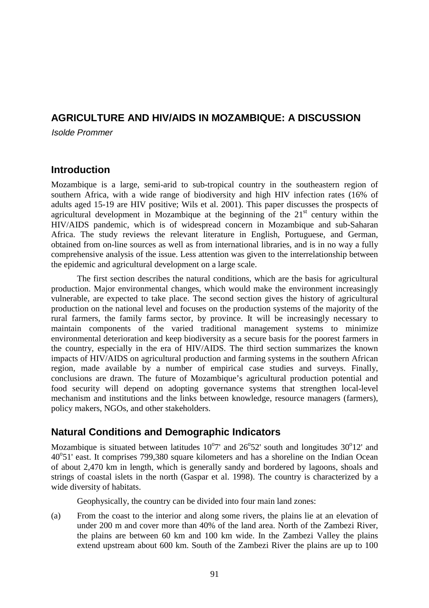## **AGRICULTURE AND HIV/AIDS IN MOZAMBIQUE: A DISCUSSION**

Isolde Prommer

### **Introduction**

Mozambique is a large, semi-arid to sub-tropical country in the southeastern region of southern Africa, with a wide range of biodiversity and high HIV infection rates (16% of adults aged 15-19 are HIV positive; Wils et al. 2001). This paper discusses the prospects of agricultural development in Mozambique at the beginning of the  $21<sup>st</sup>$  century within the HIV/AIDS pandemic, which is of widespread concern in Mozambique and sub-Saharan Africa. The study reviews the relevant literature in English, Portuguese, and German, obtained from on-line sources as well as from international libraries, and is in no way a fully comprehensive analysis of the issue. Less attention was given to the interrelationship between the epidemic and agricultural development on a large scale.

The first section describes the natural conditions, which are the basis for agricultural production. Major environmental changes, which would make the environment increasingly vulnerable, are expected to take place. The second section gives the history of agricultural production on the national level and focuses on the production systems of the majority of the rural farmers, the family farms sector, by province. It will be increasingly necessary to maintain components of the varied traditional management systems to minimize environmental deterioration and keep biodiversity as a secure basis for the poorest farmers in the country, especially in the era of HIV/AIDS. The third section summarizes the known impacts of HIV/AIDS on agricultural production and farming systems in the southern African region, made available by a number of empirical case studies and surveys. Finally, conclusions are drawn. The future of Mozambique's agricultural production potential and food security will depend on adopting governance systems that strengthen local-level mechanism and institutions and the links between knowledge, resource managers (farmers), policy makers, NGOs, and other stakeholders.

## **Natural Conditions and Demographic Indicators**

Mozambique is situated between latitudes  $10^{\circ}7'$  and  $26^{\circ}52'$  south and longitudes  $30^{\circ}12'$  and 40°51' east. It comprises 799,380 square kilometers and has a shoreline on the Indian Ocean of about 2,470 km in length, which is generally sandy and bordered by lagoons, shoals and strings of coastal islets in the north (Gaspar et al. 1998). The country is characterized by a wide diversity of habitats.

Geophysically, the country can be divided into four main land zones:

(a) From the coast to the interior and along some rivers, the plains lie at an elevation of under 200 m and cover more than 40% of the land area. North of the Zambezi River, the plains are between 60 km and 100 km wide. In the Zambezi Valley the plains extend upstream about 600 km. South of the Zambezi River the plains are up to 100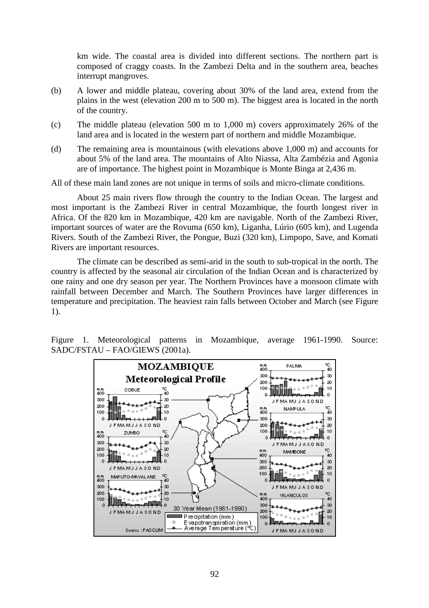km wide. The coastal area is divided into different sections. The northern part is composed of craggy coasts. In the Zambezi Delta and in the southern area, beaches interrupt mangroves.

- (b) A lower and middle plateau, covering about 30% of the land area, extend from the plains in the west (elevation 200 m to 500 m). The biggest area is located in the north of the country.
- (c) The middle plateau (elevation 500 m to 1,000 m) covers approximately 26% of the land area and is located in the western part of northern and middle Mozambique.
- (d) The remaining area is mountainous (with elevations above 1,000 m) and accounts for about 5% of the land area. The mountains of Alto Niassa, Alta Zambézia and Agonia are of importance. The highest point in Mozambique is Monte Binga at 2,436 m.

All of these main land zones are not unique in terms of soils and micro-climate conditions.

About 25 main rivers flow through the country to the Indian Ocean. The largest and most important is the Zambezi River in central Mozambique, the fourth longest river in Africa. Of the 820 km in Mozambique, 420 km are navigable. North of the Zambezi River, important sources of water are the Rovuma (650 km), Liganha, Lúrio (605 km), and Lugenda Rivers. South of the Zambezi River, the Pongue, Buzi (320 km), Limpopo, Save, and Komati Rivers are important resources.

The climate can be described as semi-arid in the south to sub-tropical in the north. The country is affected by the seasonal air circulation of the Indian Ocean and is characterized by one rainy and one dry season per year. The Northern Provinces have a monsoon climate with rainfall between December and March. The Southern Provinces have larger differences in temperature and precipitation. The heaviest rain falls between October and March (see Figure 1).



Figure 1. Meteorological patterns in Mozambique, average 1961-1990. Source: SADC/FSTAU – FAO/GIEWS (2001a).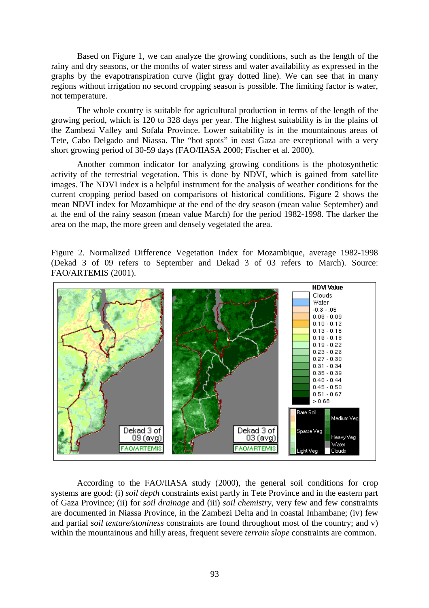Based on Figure 1, we can analyze the growing conditions, such as the length of the rainy and dry seasons, or the months of water stress and water availability as expressed in the graphs by the evapotranspiration curve (light gray dotted line). We can see that in many regions without irrigation no second cropping season is possible. The limiting factor is water, not temperature.

The whole country is suitable for agricultural production in terms of the length of the growing period, which is 120 to 328 days per year. The highest suitability is in the plains of the Zambezi Valley and Sofala Province. Lower suitability is in the mountainous areas of Tete, Cabo Delgado and Niassa. The "hot spots" in east Gaza are exceptional with a very short growing period of 30-59 days (FAO/IIASA 2000; Fischer et al. 2000).

Another common indicator for analyzing growing conditions is the photosynthetic activity of the terrestrial vegetation. This is done by NDVI, which is gained from satellite images. The NDVI index is a helpful instrument for the analysis of weather conditions for the current cropping period based on comparisons of historical conditions. Figure 2 shows the mean NDVI index for Mozambique at the end of the dry season (mean value September) and at the end of the rainy season (mean value March) for the period 1982-1998. The darker the area on the map, the more green and densely vegetated the area.

Figure 2. Normalized Difference Vegetation Index for Mozambique, average 1982-1998 (Dekad 3 of 09 refers to September and Dekad 3 of 03 refers to March). Source: FAO/ARTEMIS (2001).



According to the FAO/IIASA study (2000), the general soil conditions for crop systems are good: (i) *soil depth* constraints exist partly in Tete Province and in the eastern part of Gaza Province; (ii) for *soil drainage* and (iii) *soil chemistry*, very few and few constraints are documented in Niassa Province, in the Zambezi Delta and in coastal Inhambane; (iv) few and partial *soil texture/stoniness* constraints are found throughout most of the country; and v) within the mountainous and hilly areas, frequent severe *terrain slope* constraints are common.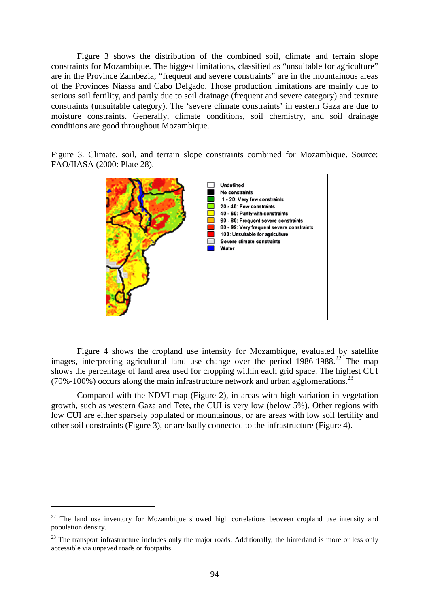Figure 3 shows the distribution of the combined soil, climate and terrain slope constraints for Mozambique. The biggest limitations, classified as "unsuitable for agriculture" are in the Province Zambézia; "frequent and severe constraints" are in the mountainous areas of the Provinces Niassa and Cabo Delgado. Those production limitations are mainly due to serious soil fertility, and partly due to soil drainage (frequent and severe category) and texture constraints (unsuitable category). The 'severe climate constraints' in eastern Gaza are due to moisture constraints. Generally, climate conditions, soil chemistry, and soil drainage conditions are good throughout Mozambique.

Figure 3. Climate, soil, and terrain slope constraints combined for Mozambique. Source: FAO/IIASA (2000: Plate 28).



Figure 4 shows the cropland use intensity for Mozambique, evaluated by satellite images, interpreting agricultural land use change over the period  $1986-1988$ <sup>22</sup>. The map shows the percentage of land area used for cropping within each grid space. The highest CUI (70%-100%) occurs along the main infrastructure network and urban agglomerations.<sup>23</sup>

Compared with the NDVI map (Figure 2), in areas with high variation in vegetation growth, such as western Gaza and Tete, the CUI is very low (below 5%). Other regions with low CUI are either sparsely populated or mountainous, or are areas with low soil fertility and other soil constraints (Figure 3), or are badly connected to the infrastructure (Figure 4).

 $22$  The land use inventory for Mozambique showed high correlations between cropland use intensity and population density.

<sup>&</sup>lt;sup>23</sup> The transport infrastructure includes only the major roads. Additionally, the hinterland is more or less only accessible via unpaved roads or footpaths.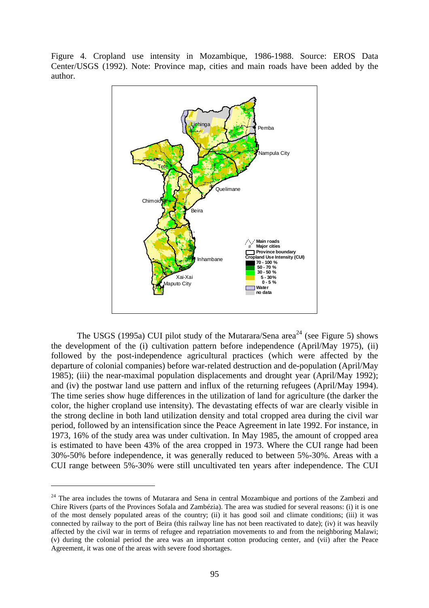Figure 4. Cropland use intensity in Mozambique, 1986-1988. Source: EROS Data Center/USGS (1992). Note: Province map, cities and main roads have been added by the author.



The USGS (1995a) CUI pilot study of the Mutarara/Sena area<sup>24</sup> (see Figure 5) shows the development of the (i) cultivation pattern before independence (April/May 1975), (ii) followed by the post-independence agricultural practices (which were affected by the departure of colonial companies) before war-related destruction and de-population (April/May 1985); (iii) the near-maximal population displacements and drought year (April/May 1992); and (iv) the postwar land use pattern and influx of the returning refugees (April/May 1994). The time series show huge differences in the utilization of land for agriculture (the darker the color, the higher cropland use intensity). The devastating effects of war are clearly visible in the strong decline in both land utilization density and total cropped area during the civil war period, followed by an intensification since the Peace Agreement in late 1992. For instance, in 1973, 16% of the study area was under cultivation. In May 1985, the amount of cropped area is estimated to have been 43% of the area cropped in 1973. Where the CUI range had been 30%-50% before independence, it was generally reduced to between 5%-30%. Areas with a CUI range between 5%-30% were still uncultivated ten years after independence. The CUI

 $24$  The area includes the towns of Mutarara and Sena in central Mozambique and portions of the Zambezi and Chire Rivers (parts of the Provinces Sofala and Zambézia). The area was studied for several reasons: (i) it is one of the most densely populated areas of the country; (ii) it has good soil and climate conditions; (iii) it was connected by railway to the port of Beira (this railway line has not been reactivated to date); (iv) it was heavily affected by the civil war in terms of refugee and repatriation movements to and from the neighboring Malawi; (v) during the colonial period the area was an important cotton producing center, and (vii) after the Peace Agreement, it was one of the areas with severe food shortages.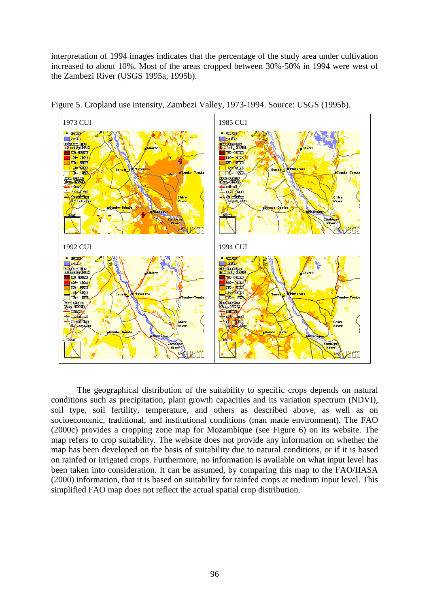interpretation of 1994 images indicates that the percentage of the study area under cultivation increased to about 10%. Most of the areas cropped between 30%-50% in 1994 were west of the Zambezi River (USGS 1995a, 1995b).



Figure 5. Cropland use intensity, Zambezi Valley, 1973-1994. Source: USGS (1995b).

The geographical distribution of the suitability to specific crops depends on natural conditions such as precipitation, plant growth capacities and its variation spectrum (NDVI), soil type, soil fertility, temperature, and others as described above, as well as on socioeconomic, traditional, and institutional conditions (man made environment). The FAO (2000c) provides a cropping zone map for Mozambique (see Figure 6) on its website. The map refers to crop suitability. The website does not provide any information on whether the map has been developed on the basis of suitability due to natural conditions, or if it is based on rainfed or irrigated crops. Furthermore, no information is available on what input level has been taken into consideration. It can be assumed, by comparing this map to the FAO/IIASA (2000) information, that it is based on suitability for rainfed crops at medium input level. This simplified FAO map does not reflect the actual spatial crop distribution.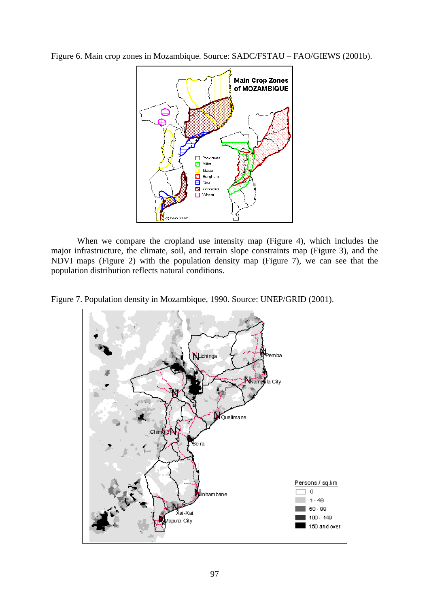Figure 6. Main crop zones in Mozambique. Source: SADC/FSTAU – FAO/GIEWS (2001b).



When we compare the cropland use intensity map (Figure 4), which includes the major infrastructure, the climate, soil, and terrain slope constraints map (Figure 3), and the NDVI maps (Figure 2) with the population density map (Figure 7), we can see that the population distribution reflects natural conditions.

Figure 7. Population density in Mozambique, 1990. Source: UNEP/GRID (2001).

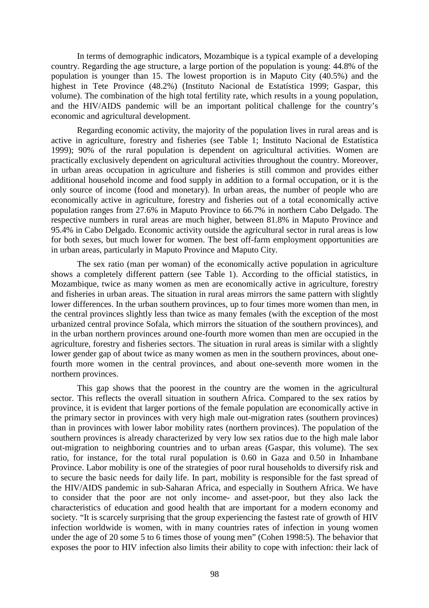In terms of demographic indicators, Mozambique is a typical example of a developing country. Regarding the age structure, a large portion of the population is young: 44.8% of the population is younger than 15. The lowest proportion is in Maputo City (40.5%) and the highest in Tete Province (48.2%) (Instituto Nacional de Estatística 1999; Gaspar, this volume). The combination of the high total fertility rate, which results in a young population, and the HIV/AIDS pandemic will be an important political challenge for the country's economic and agricultural development.

Regarding economic activity, the majority of the population lives in rural areas and is active in agriculture, forestry and fisheries (see Table 1; Instituto Nacional de Estatística 1999); 90% of the rural population is dependent on agricultural activities. Women are practically exclusively dependent on agricultural activities throughout the country. Moreover, in urban areas occupation in agriculture and fisheries is still common and provides either additional household income and food supply in addition to a formal occupation, or it is the only source of income (food and monetary). In urban areas, the number of people who are economically active in agriculture, forestry and fisheries out of a total economically active population ranges from 27.6% in Maputo Province to 66.7% in northern Cabo Delgado. The respective numbers in rural areas are much higher, between 81.8% in Maputo Province and 95.4% in Cabo Delgado. Economic activity outside the agricultural sector in rural areas is low for both sexes, but much lower for women. The best off-farm employment opportunities are in urban areas, particularly in Maputo Province and Maputo City.

The sex ratio (man per woman) of the economically active population in agriculture shows a completely different pattern (see Table 1). According to the official statistics, in Mozambique, twice as many women as men are economically active in agriculture, forestry and fisheries in urban areas. The situation in rural areas mirrors the same pattern with slightly lower differences. In the urban southern provinces, up to four times more women than men, in the central provinces slightly less than twice as many females (with the exception of the most urbanized central province Sofala, which mirrors the situation of the southern provinces), and in the urban northern provinces around one-fourth more women than men are occupied in the agriculture, forestry and fisheries sectors. The situation in rural areas is similar with a slightly lower gender gap of about twice as many women as men in the southern provinces, about onefourth more women in the central provinces, and about one-seventh more women in the northern provinces.

This gap shows that the poorest in the country are the women in the agricultural sector. This reflects the overall situation in southern Africa. Compared to the sex ratios by province, it is evident that larger portions of the female population are economically active in the primary sector in provinces with very high male out-migration rates (southern provinces) than in provinces with lower labor mobility rates (northern provinces). The population of the southern provinces is already characterized by very low sex ratios due to the high male labor out-migration to neighboring countries and to urban areas (Gaspar, this volume). The sex ratio, for instance, for the total rural population is 0.60 in Gaza and 0.50 in Inhambane Province. Labor mobility is one of the strategies of poor rural households to diversify risk and to secure the basic needs for daily life. In part, mobility is responsible for the fast spread of the HIV/AIDS pandemic in sub-Saharan Africa, and especially in Southern Africa. We have to consider that the poor are not only income- and asset-poor, but they also lack the characteristics of education and good health that are important for a modern economy and society. "It is scarcely surprising that the group experiencing the fastest rate of growth of HIV infection worldwide is women, with in many countries rates of infection in young women under the age of 20 some 5 to 6 times those of young men" (Cohen 1998:5). The behavior that exposes the poor to HIV infection also limits their ability to cope with infection: their lack of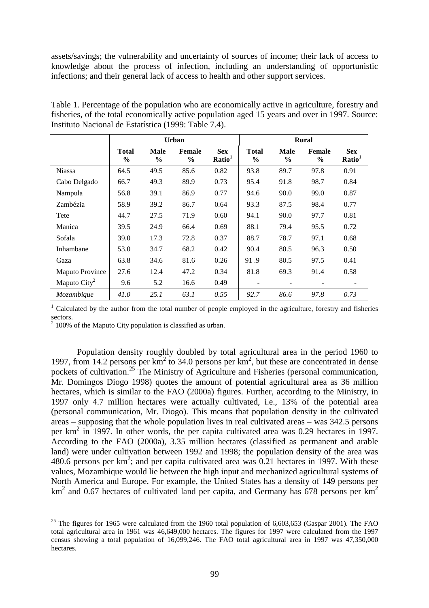assets/savings; the vulnerability and uncertainty of sources of income; their lack of access to knowledge about the process of infection, including an understanding of opportunistic infections; and their general lack of access to health and other support services.

Table 1. Percentage of the population who are economically active in agriculture, forestry and fisheries, of the total economically active population aged 15 years and over in 1997. Source: Instituto Nacional de Estatística (1999: Table 7.4).

|                        | <b>Urban</b>                  |                              |                         |                                  | <b>Rural</b>                  |                              |                         |                                  |
|------------------------|-------------------------------|------------------------------|-------------------------|----------------------------------|-------------------------------|------------------------------|-------------------------|----------------------------------|
|                        | <b>Total</b><br>$\frac{0}{0}$ | <b>Male</b><br>$\frac{0}{0}$ | Female<br>$\frac{0}{0}$ | <b>Sex</b><br>Ratio <sup>1</sup> | <b>Total</b><br>$\frac{6}{9}$ | <b>Male</b><br>$\frac{0}{0}$ | Female<br>$\frac{0}{0}$ | <b>Sex</b><br>Ratio <sup>1</sup> |
| <b>Niassa</b>          | 64.5                          | 49.5                         | 85.6                    | 0.82                             | 93.8                          | 89.7                         | 97.8                    | 0.91                             |
| Cabo Delgado           | 66.7                          | 49.3                         | 89.9                    | 0.73                             | 95.4                          | 91.8                         | 98.7                    | 0.84                             |
| Nampula                | 56.8                          | 39.1                         | 86.9                    | 0.77                             | 94.6                          | 90.0                         | 99.0                    | 0.87                             |
| Zambézia               | 58.9                          | 39.2                         | 86.7                    | 0.64                             | 93.3                          | 87.5                         | 98.4                    | 0.77                             |
| Tete                   | 44.7                          | 27.5                         | 71.9                    | 0.60                             | 94.1                          | 90.0                         | 97.7                    | 0.81                             |
| Manica                 | 39.5                          | 24.9                         | 66.4                    | 0.69                             | 88.1                          | 79.4                         | 95.5                    | 0.72                             |
| Sofala                 | 39.0                          | 17.3                         | 72.8                    | 0.37                             | 88.7                          | 78.7                         | 97.1                    | 0.68                             |
| Inhambane              | 53.0                          | 34.7                         | 68.2                    | 0.42                             | 90.4                          | 80.5                         | 96.3                    | 0.50                             |
| Gaza                   | 63.8                          | 34.6                         | 81.6                    | 0.26                             | 91.9                          | 80.5                         | 97.5                    | 0.41                             |
| <b>Maputo Province</b> | 27.6                          | 12.4                         | 47.2                    | 0.34                             | 81.8                          | 69.3                         | 91.4                    | 0.58                             |
| Maputo $City2$         | 9.6                           | 5.2                          | 16.6                    | 0.49                             |                               |                              |                         |                                  |
| Mozambique             | 41.0                          | 25.1                         | 63.1                    | 0.55                             | 92.7                          | 86.6                         | 97.8                    | 0.73                             |

<sup>1</sup> Calculated by the author from the total number of people employed in the agriculture, forestry and fisheries sectors.

 $2^{2}$  100% of the Maputo City population is classified as urban.

 $\overline{a}$ 

Population density roughly doubled by total agricultural area in the period 1960 to 1997, from 14.2 persons per  $km^2$  to 34.0 persons per  $km^2$ , but these are concentrated in dense pockets of cultivation.<sup>25</sup> The Ministry of Agriculture and Fisheries (personal communication, Mr. Domingos Diogo 1998) quotes the amount of potential agricultural area as 36 million hectares, which is similar to the FAO (2000a) figures. Further, according to the Ministry, in 1997 only 4.7 million hectares were actually cultivated, i.e., 13% of the potential area (personal communication, Mr. Diogo). This means that population density in the cultivated areas – supposing that the whole population lives in real cultivated areas – was 342.5 persons per km<sup>2</sup> in 1997. In other words, the per capita cultivated area was 0.29 hectares in 1997. According to the FAO (2000a), 3.35 million hectares (classified as permanent and arable land) were under cultivation between 1992 and 1998; the population density of the area was 480.6 persons per  $km^2$ ; and per capita cultivated area was 0.21 hectares in 1997. With these values, Mozambique would lie between the high input and mechanized agricultural systems of North America and Europe. For example, the United States has a density of 149 persons per  $km<sup>2</sup>$  and 0.67 hectares of cultivated land per capita, and Germany has 678 persons per  $km<sup>2</sup>$ 

<sup>&</sup>lt;sup>25</sup> The figures for 1965 were calculated from the 1960 total population of  $6,603,653$  (Gaspar 2001). The FAO total agricultural area in 1961 was 46,649,000 hectares. The figures for 1997 were calculated from the 1997 census showing a total population of 16,099,246. The FAO total agricultural area in 1997 was 47,350,000 hectares.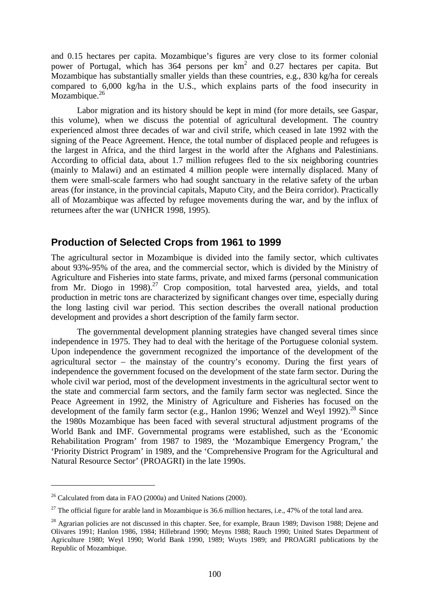and 0.15 hectares per capita. Mozambique's figures are very close to its former colonial power of Portugal, which has  $364$  persons per  $km^2$  and 0.27 hectares per capita. But Mozambique has substantially smaller yields than these countries, e.g., 830 kg/ha for cereals compared to 6,000 kg/ha in the U.S., which explains parts of the food insecurity in Mozambique.<sup>26</sup>

Labor migration and its history should be kept in mind (for more details, see Gaspar, this volume), when we discuss the potential of agricultural development. The country experienced almost three decades of war and civil strife, which ceased in late 1992 with the signing of the Peace Agreement. Hence, the total number of displaced people and refugees is the largest in Africa, and the third largest in the world after the Afghans and Palestinians. According to official data, about 1.7 million refugees fled to the six neighboring countries (mainly to Malawi) and an estimated 4 million people were internally displaced. Many of them were small-scale farmers who had sought sanctuary in the relative safety of the urban areas (for instance, in the provincial capitals, Maputo City, and the Beira corridor). Practically all of Mozambique was affected by refugee movements during the war, and by the influx of returnees after the war (UNHCR 1998, 1995).

### **Production of Selected Crops from 1961 to 1999**

The agricultural sector in Mozambique is divided into the family sector, which cultivates about 93%-95% of the area, and the commercial sector, which is divided by the Ministry of Agriculture and Fisheries into state farms, private, and mixed farms (personal communication from Mr. Diogo in 1998).<sup>27</sup> Crop composition, total harvested area, yields, and total production in metric tons are characterized by significant changes over time, especially during the long lasting civil war period. This section describes the overall national production development and provides a short description of the family farm sector.

The governmental development planning strategies have changed several times since independence in 1975. They had to deal with the heritage of the Portuguese colonial system. Upon independence the government recognized the importance of the development of the agricultural sector – the mainstay of the country's economy. During the first years of independence the government focused on the development of the state farm sector. During the whole civil war period, most of the development investments in the agricultural sector went to the state and commercial farm sectors, and the family farm sector was neglected. Since the Peace Agreement in 1992, the Ministry of Agriculture and Fisheries has focused on the development of the family farm sector (e.g., Hanlon 1996; Wenzel and Weyl 1992).<sup>28</sup> Since the 1980s Mozambique has been faced with several structural adjustment programs of the World Bank and IMF. Governmental programs were established, such as the 'Economic Rehabilitation Program' from 1987 to 1989, the 'Mozambique Emergency Program,' the 'Priority District Program' in 1989, and the 'Comprehensive Program for the Agricultural and Natural Resource Sector' (PROAGRI) in the late 1990s.

 $26$  Calculated from data in FAO (2000a) and United Nations (2000).

<sup>&</sup>lt;sup>27</sup> The official figure for arable land in Mozambique is 36.6 million hectares, i.e., 47% of the total land area.

<sup>&</sup>lt;sup>28</sup> Agrarian policies are not discussed in this chapter. See, for example, Braun 1989; Davison 1988; Dejene and Olivares 1991; Hanlon 1986, 1984; Hillebrand 1990; Meyns 1988; Rauch 1990; United States Department of Agriculture 1980; Weyl 1990; World Bank 1990, 1989; Wuyts 1989; and PROAGRI publications by the Republic of Mozambique.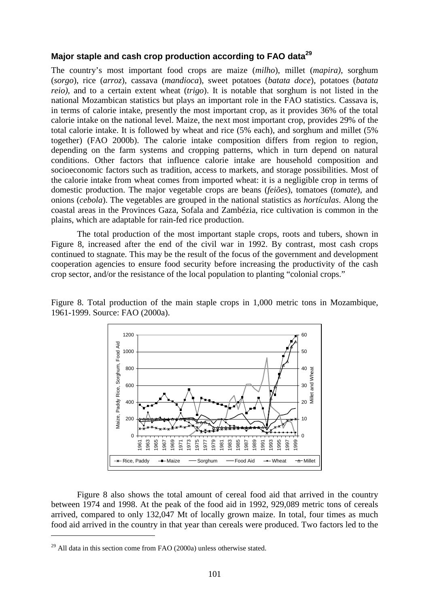### **Major staple and cash crop production according to FAO data<sup>29</sup>**

The country's most important food crops are maize (*milho*), millet (*mapira)*, sorghum (*sorgo*), rice (*arroz*), cassava (*mandioca*), sweet potatoes (*batata doce*), potatoes (*batata reio)*, and to a certain extent wheat (*trigo*). It is notable that sorghum is not listed in the national Mozambican statistics but plays an important role in the FAO statistics. Cassava is, in terms of calorie intake, presently the most important crop, as it provides 36% of the total calorie intake on the national level. Maize, the next most important crop, provides 29% of the total calorie intake. It is followed by wheat and rice (5% each), and sorghum and millet (5% together) (FAO 2000b). The calorie intake composition differs from region to region, depending on the farm systems and cropping patterns, which in turn depend on natural conditions. Other factors that influence calorie intake are household composition and socioeconomic factors such as tradition, access to markets, and storage possibilities. Most of the calorie intake from wheat comes from imported wheat: it is a negligible crop in terms of domestic production. The major vegetable crops are beans (*feiões*), tomatoes (*tomate*), and onions (*cebola*). The vegetables are grouped in the national statistics as *hortículas*. Along the coastal areas in the Provinces Gaza, Sofala and Zambézia, rice cultivation is common in the plains, which are adaptable for rain-fed rice production.

The total production of the most important staple crops, roots and tubers, shown in Figure 8, increased after the end of the civil war in 1992. By contrast, most cash crops continued to stagnate. This may be the result of the focus of the government and development cooperation agencies to ensure food security before increasing the productivity of the cash crop sector, and/or the resistance of the local population to planting "colonial crops."

Figure 8. Total production of the main staple crops in 1,000 metric tons in Mozambique, 1961-1999. Source: FAO (2000a).



Figure 8 also shows the total amount of cereal food aid that arrived in the country between 1974 and 1998. At the peak of the food aid in 1992, 929,089 metric tons of cereals arrived, compared to only 132,047 Mt of locally grown maize. In total, four times as much food aid arrived in the country in that year than cereals were produced. Two factors led to the

 $29$  All data in this section come from FAO (2000a) unless otherwise stated.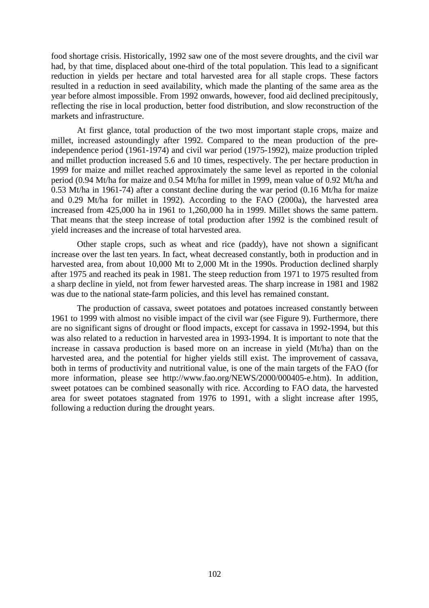food shortage crisis. Historically, 1992 saw one of the most severe droughts, and the civil war had, by that time, displaced about one-third of the total population. This lead to a significant reduction in yields per hectare and total harvested area for all staple crops. These factors resulted in a reduction in seed availability, which made the planting of the same area as the year before almost impossible. From 1992 onwards, however, food aid declined precipitously, reflecting the rise in local production, better food distribution, and slow reconstruction of the markets and infrastructure.

At first glance, total production of the two most important staple crops, maize and millet, increased astoundingly after 1992. Compared to the mean production of the preindependence period (1961-1974) and civil war period (1975-1992), maize production tripled and millet production increased 5.6 and 10 times, respectively. The per hectare production in 1999 for maize and millet reached approximately the same level as reported in the colonial period (0.94 Mt/ha for maize and 0.54 Mt/ha for millet in 1999, mean value of 0.92 Mt/ha and 0.53 Mt/ha in 1961-74) after a constant decline during the war period (0.16 Mt/ha for maize and 0.29 Mt/ha for millet in 1992). According to the FAO (2000a), the harvested area increased from 425,000 ha in 1961 to 1,260,000 ha in 1999. Millet shows the same pattern. That means that the steep increase of total production after 1992 is the combined result of yield increases and the increase of total harvested area.

Other staple crops, such as wheat and rice (paddy), have not shown a significant increase over the last ten years. In fact, wheat decreased constantly, both in production and in harvested area, from about 10,000 Mt to 2,000 Mt in the 1990s. Production declined sharply after 1975 and reached its peak in 1981. The steep reduction from 1971 to 1975 resulted from a sharp decline in yield, not from fewer harvested areas. The sharp increase in 1981 and 1982 was due to the national state-farm policies, and this level has remained constant.

The production of cassava, sweet potatoes and potatoes increased constantly between 1961 to 1999 with almost no visible impact of the civil war (see Figure 9). Furthermore, there are no significant signs of drought or flood impacts, except for cassava in 1992-1994, but this was also related to a reduction in harvested area in 1993-1994. It is important to note that the increase in cassava production is based more on an increase in yield (Mt/ha) than on the harvested area, and the potential for higher yields still exist. The improvement of cassava, both in terms of productivity and nutritional value, is one of the main targets of the FAO (for more information, please see http://www.fao.org/NEWS/2000/000405-e.htm). In addition, sweet potatoes can be combined seasonally with rice. According to FAO data, the harvested area for sweet potatoes stagnated from 1976 to 1991, with a slight increase after 1995, following a reduction during the drought years.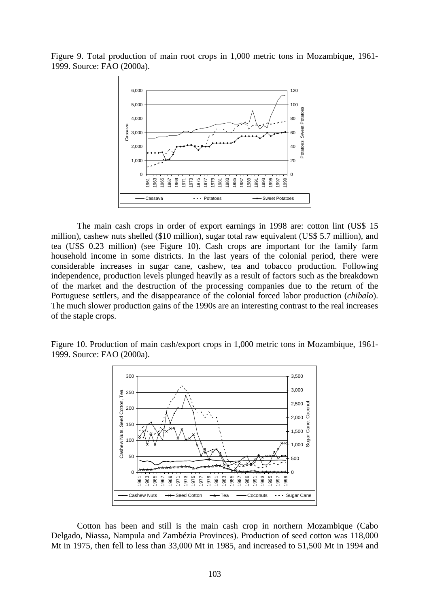Figure 9. Total production of main root crops in 1,000 metric tons in Mozambique, 1961- 1999. Source: FAO (2000a).



The main cash crops in order of export earnings in 1998 are: cotton lint (US\$ 15 million), cashew nuts shelled (\$10 million), sugar total raw equivalent (US\$ 5.7 million), and tea (US\$ 0.23 million) (see Figure 10). Cash crops are important for the family farm household income in some districts. In the last years of the colonial period, there were considerable increases in sugar cane, cashew, tea and tobacco production. Following independence, production levels plunged heavily as a result of factors such as the breakdown of the market and the destruction of the processing companies due to the return of the Portuguese settlers, and the disappearance of the colonial forced labor production (*chibalo*). The much slower production gains of the 1990s are an interesting contrast to the real increases of the staple crops.

Figure 10. Production of main cash/export crops in 1,000 metric tons in Mozambique, 1961- 1999. Source: FAO (2000a).



Cotton has been and still is the main cash crop in northern Mozambique (Cabo Delgado, Niassa, Nampula and Zambézia Provinces). Production of seed cotton was 118,000 Mt in 1975, then fell to less than 33,000 Mt in 1985, and increased to 51,500 Mt in 1994 and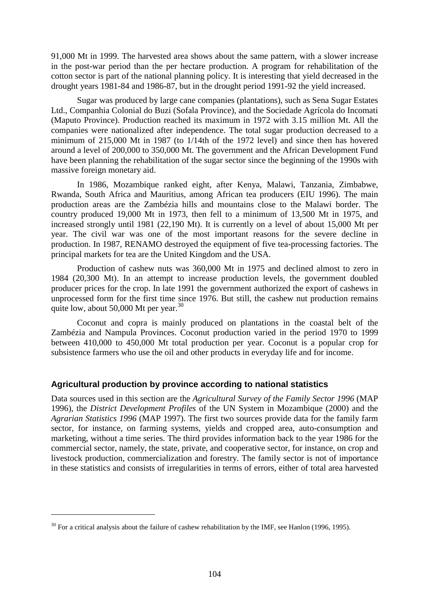91,000 Mt in 1999. The harvested area shows about the same pattern, with a slower increase in the post-war period than the per hectare production. A program for rehabilitation of the cotton sector is part of the national planning policy. It is interesting that yield decreased in the drought years 1981-84 and 1986-87, but in the drought period 1991-92 the yield increased.

Sugar was produced by large cane companies (plantations), such as Sena Sugar Estates Ltd., Companhia Colonial do Buzi (Sofala Province), and the Sociedade Agrícola do Incomati (Maputo Province). Production reached its maximum in 1972 with 3.15 million Mt. All the companies were nationalized after independence. The total sugar production decreased to a minimum of 215,000 Mt in 1987 (to 1/14th of the 1972 level) and since then has hovered around a level of 200,000 to 350,000 Mt. The government and the African Development Fund have been planning the rehabilitation of the sugar sector since the beginning of the 1990s with massive foreign monetary aid.

In 1986, Mozambique ranked eight, after Kenya, Malawi, Tanzania, Zimbabwe, Rwanda, South Africa and Mauritius, among African tea producers (EIU 1996). The main production areas are the Zambézia hills and mountains close to the Malawi border. The country produced 19,000 Mt in 1973, then fell to a minimum of 13,500 Mt in 1975, and increased strongly until 1981 (22,190 Mt). It is currently on a level of about 15,000 Mt per year. The civil war was one of the most important reasons for the severe decline in production. In 1987, RENAMO destroyed the equipment of five tea-processing factories. The principal markets for tea are the United Kingdom and the USA.

Production of cashew nuts was 360,000 Mt in 1975 and declined almost to zero in 1984 (20,300 Mt). In an attempt to increase production levels, the government doubled producer prices for the crop. In late 1991 the government authorized the export of cashews in unprocessed form for the first time since 1976. But still, the cashew nut production remains quite low, about 50,000 Mt per year. $30$ 

Coconut and copra is mainly produced on plantations in the coastal belt of the Zambézia and Nampula Provinces. Coconut production varied in the period 1970 to 1999 between 410,000 to 450,000 Mt total production per year. Coconut is a popular crop for subsistence farmers who use the oil and other products in everyday life and for income.

### **Agricultural production by province according to national statistics**

Data sources used in this section are the *Agricultural Survey of the Family Sector 1996* (MAP 1996), the *District Development Profiles* of the UN System in Mozambique (2000) and the *Agrarian Statistics 1996* (MAP 1997). The first two sources provide data for the family farm sector, for instance, on farming systems, yields and cropped area, auto-consumption and marketing, without a time series. The third provides information back to the year 1986 for the commercial sector, namely, the state, private, and cooperative sector, for instance, on crop and livestock production, commercialization and forestry. The family sector is not of importance in these statistics and consists of irregularities in terms of errors, either of total area harvested

 $30$  For a critical analysis about the failure of cashew rehabilitation by the IMF, see Hanlon (1996, 1995).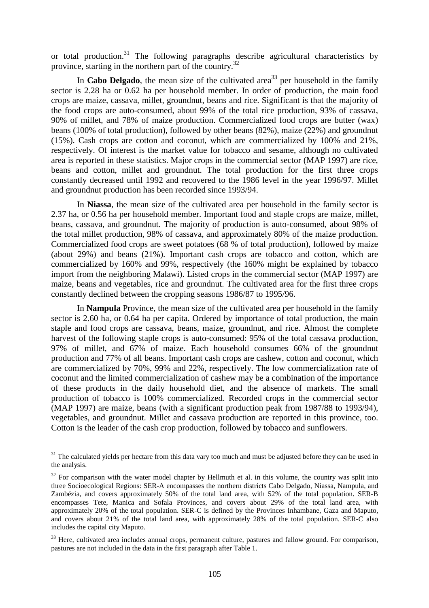or total production.<sup>31</sup> The following paragraphs describe agricultural characteristics by province, starting in the northern part of the country.<sup>32</sup>

In **Cabo Delgado**, the mean size of the cultivated area<sup>33</sup> per household in the family sector is 2.28 ha or 0.62 ha per household member. In order of production, the main food crops are maize, cassava, millet, groundnut, beans and rice. Significant is that the majority of the food crops are auto-consumed, about 99% of the total rice production, 93% of cassava, 90% of millet, and 78% of maize production. Commercialized food crops are butter (wax) beans (100% of total production), followed by other beans (82%), maize (22%) and groundnut (15%). Cash crops are cotton and coconut, which are commercialized by 100% and 21%, respectively. Of interest is the market value for tobacco and sesame, although no cultivated area is reported in these statistics. Major crops in the commercial sector (MAP 1997) are rice, beans and cotton, millet and groundnut. The total production for the first three crops constantly decreased until 1992 and recovered to the 1986 level in the year 1996/97. Millet and groundnut production has been recorded since 1993/94.

In **Niassa**, the mean size of the cultivated area per household in the family sector is 2.37 ha, or 0.56 ha per household member. Important food and staple crops are maize, millet, beans, cassava, and groundnut. The majority of production is auto-consumed, about 98% of the total millet production, 98% of cassava, and approximately 80% of the maize production. Commercialized food crops are sweet potatoes (68 % of total production), followed by maize (about 29%) and beans (21%). Important cash crops are tobacco and cotton, which are commercialized by 160% and 99%, respectively (the 160% might be explained by tobacco import from the neighboring Malawi). Listed crops in the commercial sector (MAP 1997) are maize, beans and vegetables, rice and groundnut. The cultivated area for the first three crops constantly declined between the cropping seasons 1986/87 to 1995/96.

In **Nampula** Province, the mean size of the cultivated area per household in the family sector is 2.60 ha, or 0.64 ha per capita. Ordered by importance of total production, the main staple and food crops are cassava, beans, maize, groundnut, and rice. Almost the complete harvest of the following staple crops is auto-consumed: 95% of the total cassava production, 97% of millet, and 67% of maize. Each household consumes 66% of the groundnut production and 77% of all beans. Important cash crops are cashew, cotton and coconut, which are commercialized by 70%, 99% and 22%, respectively. The low commercialization rate of coconut and the limited commercialization of cashew may be a combination of the importance of these products in the daily household diet, and the absence of markets. The small production of tobacco is 100% commercialized. Recorded crops in the commercial sector (MAP 1997) are maize, beans (with a significant production peak from 1987/88 to 1993/94), vegetables, and groundnut. Millet and cassava production are reported in this province, too. Cotton is the leader of the cash crop production, followed by tobacco and sunflowers.

<sup>&</sup>lt;sup>31</sup> The calculated yields per hectare from this data vary too much and must be adjusted before they can be used in the analysis.

 $32$  For comparison with the water model chapter by Hellmuth et al. in this volume, the country was split into three Socioecological Regions: SER-A encompasses the northern districts Cabo Delgado, Niassa, Nampula, and Zambézia, and covers approximately 50% of the total land area, with 52% of the total population. SER-B encompasses Tete, Manica and Sofala Provinces, and covers about 29% of the total land area, with approximately 20% of the total population. SER-C is defined by the Provinces Inhambane, Gaza and Maputo, and covers about 21% of the total land area, with approximately 28% of the total population. SER-C also includes the capital city Maputo.

<sup>&</sup>lt;sup>33</sup> Here, cultivated area includes annual crops, permanent culture, pastures and fallow ground. For comparison, pastures are not included in the data in the first paragraph after Table 1.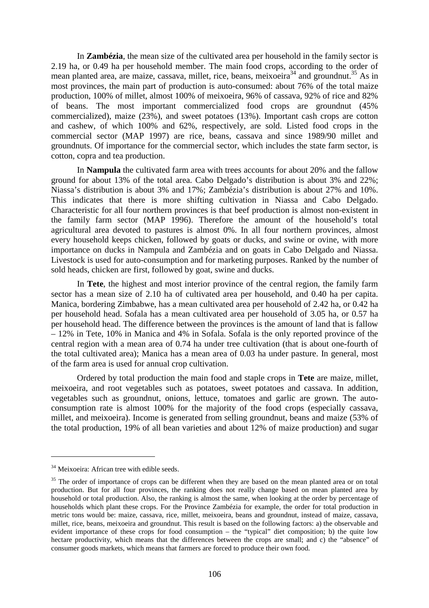In **Zambézia**, the mean size of the cultivated area per household in the family sector is 2.19 ha, or 0.49 ha per household member. The main food crops, according to the order of mean planted area, are maize, cassava, millet, rice, beans, meixoeira<sup>34</sup> and groundnut.<sup>35</sup> As in most provinces, the main part of production is auto-consumed: about 76% of the total maize production, 100% of millet, almost 100% of meixoeira, 96% of cassava, 92% of rice and 82% of beans. The most important commercialized food crops are groundnut (45% commercialized), maize (23%), and sweet potatoes (13%). Important cash crops are cotton and cashew, of which 100% and 62%, respectively, are sold. Listed food crops in the commercial sector (MAP 1997) are rice, beans, cassava and since 1989/90 millet and groundnuts. Of importance for the commercial sector, which includes the state farm sector, is cotton, copra and tea production.

In **Nampula** the cultivated farm area with trees accounts for about 20% and the fallow ground for about 13% of the total area. Cabo Delgado's distribution is about 3% and 22%; Niassa's distribution is about 3% and 17%; Zambézia's distribution is about 27% and 10%. This indicates that there is more shifting cultivation in Niassa and Cabo Delgado. Characteristic for all four northern provinces is that beef production is almost non-existent in the family farm sector (MAP 1996). Therefore the amount of the household's total agricultural area devoted to pastures is almost 0%. In all four northern provinces, almost every household keeps chicken, followed by goats or ducks, and swine or ovine, with more importance on ducks in Nampula and Zambézia and on goats in Cabo Delgado and Niassa. Livestock is used for auto-consumption and for marketing purposes. Ranked by the number of sold heads, chicken are first, followed by goat, swine and ducks.

In **Tete**, the highest and most interior province of the central region, the family farm sector has a mean size of 2.10 ha of cultivated area per household, and 0.40 ha per capita. Manica, bordering Zimbabwe, has a mean cultivated area per household of 2.42 ha, or 0.42 ha per household head. Sofala has a mean cultivated area per household of 3.05 ha, or 0.57 ha per household head. The difference between the provinces is the amount of land that is fallow – 12% in Tete, 10% in Manica and 4% in Sofala. Sofala is the only reported province of the central region with a mean area of 0.74 ha under tree cultivation (that is about one-fourth of the total cultivated area); Manica has a mean area of 0.03 ha under pasture. In general, most of the farm area is used for annual crop cultivation.

Ordered by total production the main food and staple crops in **Tete** are maize, millet, meixoeira, and root vegetables such as potatoes, sweet potatoes and cassava. In addition, vegetables such as groundnut, onions, lettuce, tomatoes and garlic are grown. The autoconsumption rate is almost 100% for the majority of the food crops (especially cassava, millet, and meixoeira). Income is generated from selling groundnut, beans and maize (53% of the total production, 19% of all bean varieties and about 12% of maize production) and sugar

<sup>&</sup>lt;sup>34</sup> Meixoeira: African tree with edible seeds.

<sup>&</sup>lt;sup>35</sup> The order of importance of crops can be different when they are based on the mean planted area or on total production. But for all four provinces, the ranking does not really change based on mean planted area by household or total production. Also, the ranking is almost the same, when looking at the order by percentage of households which plant these crops. For the Province Zambézia for example, the order for total production in metric tons would be: maize, cassava, rice, millet, meixoeira, beans and groundnut, instead of maize, cassava, millet, rice, beans, meixoeira and groundnut. This result is based on the following factors: a) the observable and evident importance of these crops for food consumption – the "typical" diet composition; b) the quite low hectare productivity, which means that the differences between the crops are small; and c) the "absence" of consumer goods markets, which means that farmers are forced to produce their own food.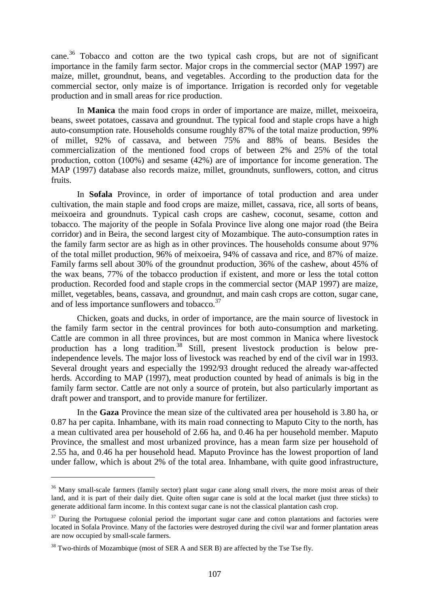cane.36 Tobacco and cotton are the two typical cash crops, but are not of significant importance in the family farm sector. Major crops in the commercial sector (MAP 1997) are maize, millet, groundnut, beans, and vegetables. According to the production data for the commercial sector, only maize is of importance. Irrigation is recorded only for vegetable production and in small areas for rice production.

In **Manica** the main food crops in order of importance are maize, millet, meixoeira, beans, sweet potatoes, cassava and groundnut. The typical food and staple crops have a high auto-consumption rate. Households consume roughly 87% of the total maize production, 99% of millet, 92% of cassava, and between 75% and 88% of beans. Besides the commercialization of the mentioned food crops of between 2% and 25% of the total production, cotton (100%) and sesame (42%) are of importance for income generation. The MAP (1997) database also records maize, millet, groundnuts, sunflowers, cotton, and citrus fruits.

In **Sofala** Province, in order of importance of total production and area under cultivation, the main staple and food crops are maize, millet, cassava, rice, all sorts of beans, meixoeira and groundnuts. Typical cash crops are cashew, coconut, sesame, cotton and tobacco. The majority of the people in Sofala Province live along one major road (the Beira corridor) and in Beira, the second largest city of Mozambique. The auto-consumption rates in the family farm sector are as high as in other provinces. The households consume about 97% of the total millet production, 96% of meixoeira, 94% of cassava and rice, and 87% of maize. Family farms sell about 30% of the groundnut production, 36% of the cashew, about 45% of the wax beans, 77% of the tobacco production if existent, and more or less the total cotton production. Recorded food and staple crops in the commercial sector (MAP 1997) are maize, millet, vegetables, beans, cassava, and groundnut, and main cash crops are cotton, sugar cane, and of less importance sunflowers and tobacco.<sup>37</sup>

Chicken, goats and ducks, in order of importance, are the main source of livestock in the family farm sector in the central provinces for both auto-consumption and marketing. Cattle are common in all three provinces, but are most common in Manica where livestock production has a long tradition.<sup>38</sup> Still, present livestock production is below preindependence levels. The major loss of livestock was reached by end of the civil war in 1993. Several drought years and especially the 1992/93 drought reduced the already war-affected herds. According to MAP (1997), meat production counted by head of animals is big in the family farm sector. Cattle are not only a source of protein, but also particularly important as draft power and transport, and to provide manure for fertilizer.

In the **Gaza** Province the mean size of the cultivated area per household is 3.80 ha, or 0.87 ha per capita. Inhambane, with its main road connecting to Maputo City to the north, has a mean cultivated area per household of 2.66 ha, and 0.46 ha per household member. Maputo Province, the smallest and most urbanized province, has a mean farm size per household of 2.55 ha, and 0.46 ha per household head. Maputo Province has the lowest proportion of land under fallow, which is about 2% of the total area. Inhambane, with quite good infrastructure,

<sup>&</sup>lt;sup>36</sup> Many small-scale farmers (family sector) plant sugar cane along small rivers, the more moist areas of their land, and it is part of their daily diet. Quite often sugar cane is sold at the local market (just three sticks) to generate additional farm income. In this context sugar cane is not the classical plantation cash crop.

 $37$  During the Portuguese colonial period the important sugar cane and cotton plantations and factories were located in Sofala Province. Many of the factories were destroyed during the civil war and former plantation areas are now occupied by small-scale farmers.

 $38$  Two-thirds of Mozambique (most of SER A and SER B) are affected by the Tse Tse fly.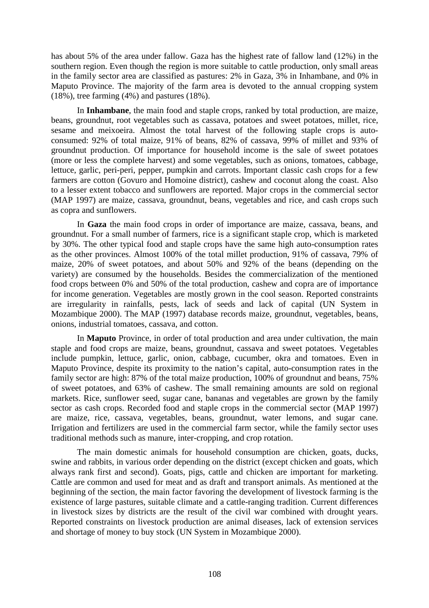has about 5% of the area under fallow. Gaza has the highest rate of fallow land (12%) in the southern region. Even though the region is more suitable to cattle production, only small areas in the family sector area are classified as pastures: 2% in Gaza, 3% in Inhambane, and 0% in Maputo Province. The majority of the farm area is devoted to the annual cropping system (18%), tree farming (4%) and pastures (18%).

In **Inhambane**, the main food and staple crops, ranked by total production, are maize, beans, groundnut, root vegetables such as cassava, potatoes and sweet potatoes, millet, rice, sesame and meixoeira. Almost the total harvest of the following staple crops is autoconsumed: 92% of total maize, 91% of beans, 82% of cassava, 99% of millet and 93% of groundnut production. Of importance for household income is the sale of sweet potatoes (more or less the complete harvest) and some vegetables, such as onions, tomatoes, cabbage, lettuce, garlic, peri-peri, pepper, pumpkin and carrots. Important classic cash crops for a few farmers are cotton (Govuro and Homoine district), cashew and coconut along the coast. Also to a lesser extent tobacco and sunflowers are reported. Major crops in the commercial sector (MAP 1997) are maize, cassava, groundnut, beans, vegetables and rice, and cash crops such as copra and sunflowers.

In **Gaza** the main food crops in order of importance are maize, cassava, beans, and groundnut. For a small number of farmers, rice is a significant staple crop, which is marketed by 30%. The other typical food and staple crops have the same high auto-consumption rates as the other provinces. Almost 100% of the total millet production, 91% of cassava, 79% of maize, 20% of sweet potatoes, and about 50% and 92% of the beans (depending on the variety) are consumed by the households. Besides the commercialization of the mentioned food crops between 0% and 50% of the total production, cashew and copra are of importance for income generation. Vegetables are mostly grown in the cool season. Reported constraints are irregularity in rainfalls, pests, lack of seeds and lack of capital (UN System in Mozambique 2000). The MAP (1997) database records maize, groundnut, vegetables, beans, onions, industrial tomatoes, cassava, and cotton.

In **Maputo** Province, in order of total production and area under cultivation, the main staple and food crops are maize, beans, groundnut, cassava and sweet potatoes. Vegetables include pumpkin, lettuce, garlic, onion, cabbage, cucumber, okra and tomatoes. Even in Maputo Province, despite its proximity to the nation's capital, auto-consumption rates in the family sector are high: 87% of the total maize production, 100% of groundnut and beans, 75% of sweet potatoes, and 63% of cashew. The small remaining amounts are sold on regional markets. Rice, sunflower seed, sugar cane, bananas and vegetables are grown by the family sector as cash crops. Recorded food and staple crops in the commercial sector (MAP 1997) are maize, rice, cassava, vegetables, beans, groundnut, water lemons, and sugar cane. Irrigation and fertilizers are used in the commercial farm sector, while the family sector uses traditional methods such as manure, inter-cropping, and crop rotation.

The main domestic animals for household consumption are chicken, goats, ducks, swine and rabbits, in various order depending on the district (except chicken and goats, which always rank first and second). Goats, pigs, cattle and chicken are important for marketing. Cattle are common and used for meat and as draft and transport animals. As mentioned at the beginning of the section, the main factor favoring the development of livestock farming is the existence of large pastures, suitable climate and a cattle-ranging tradition. Current differences in livestock sizes by districts are the result of the civil war combined with drought years. Reported constraints on livestock production are animal diseases, lack of extension services and shortage of money to buy stock (UN System in Mozambique 2000).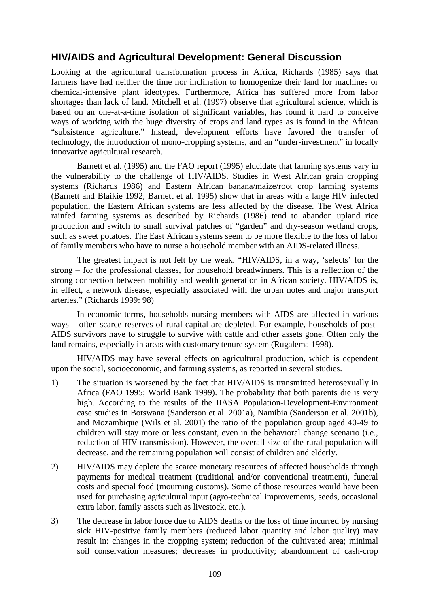# **HIV/AIDS and Agricultural Development: General Discussion**

Looking at the agricultural transformation process in Africa, Richards (1985) says that farmers have had neither the time nor inclination to homogenize their land for machines or chemical-intensive plant ideotypes. Furthermore, Africa has suffered more from labor shortages than lack of land. Mitchell et al. (1997) observe that agricultural science, which is based on an one-at-a-time isolation of significant variables, has found it hard to conceive ways of working with the huge diversity of crops and land types as is found in the African "subsistence agriculture." Instead, development efforts have favored the transfer of technology, the introduction of mono-cropping systems, and an "under-investment" in locally innovative agricultural research.

Barnett et al. (1995) and the FAO report (1995) elucidate that farming systems vary in the vulnerability to the challenge of HIV/AIDS. Studies in West African grain cropping systems (Richards 1986) and Eastern African banana/maize/root crop farming systems (Barnett and Blaikie 1992; Barnett et al. 1995) show that in areas with a large HIV infected population, the Eastern African systems are less affected by the disease. The West Africa rainfed farming systems as described by Richards (1986) tend to abandon upland rice production and switch to small survival patches of "garden" and dry-season wetland crops, such as sweet potatoes. The East African systems seem to be more flexible to the loss of labor of family members who have to nurse a household member with an AIDS-related illness.

The greatest impact is not felt by the weak. "HIV/AIDS, in a way, 'selects' for the strong – for the professional classes, for household breadwinners. This is a reflection of the strong connection between mobility and wealth generation in African society. HIV/AIDS is, in effect, a network disease, especially associated with the urban notes and major transport arteries." (Richards 1999: 98)

In economic terms, households nursing members with AIDS are affected in various ways – often scarce reserves of rural capital are depleted. For example, households of post-AIDS survivors have to struggle to survive with cattle and other assets gone. Often only the land remains, especially in areas with customary tenure system (Rugalema 1998).

HIV/AIDS may have several effects on agricultural production, which is dependent upon the social, socioeconomic, and farming systems, as reported in several studies.

- 1) The situation is worsened by the fact that HIV/AIDS is transmitted heterosexually in Africa (FAO 1995; World Bank 1999). The probability that both parents die is very high. According to the results of the IIASA Population-Development-Environment case studies in Botswana (Sanderson et al. 2001a), Namibia (Sanderson et al. 2001b), and Mozambique (Wils et al. 2001) the ratio of the population group aged 40-49 to children will stay more or less constant, even in the behavioral change scenario (i.e., reduction of HIV transmission). However, the overall size of the rural population will decrease, and the remaining population will consist of children and elderly.
- 2) HIV/AIDS may deplete the scarce monetary resources of affected households through payments for medical treatment (traditional and/or conventional treatment), funeral costs and special food (mourning customs). Some of those resources would have been used for purchasing agricultural input (agro-technical improvements, seeds, occasional extra labor, family assets such as livestock, etc.).
- 3) The decrease in labor force due to AIDS deaths or the loss of time incurred by nursing sick HIV-positive family members (reduced labor quantity and labor quality) may result in: changes in the cropping system; reduction of the cultivated area; minimal soil conservation measures; decreases in productivity; abandonment of cash-crop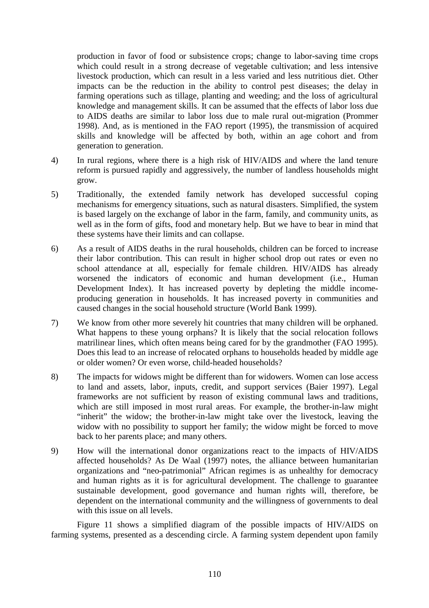production in favor of food or subsistence crops; change to labor-saving time crops which could result in a strong decrease of vegetable cultivation; and less intensive livestock production, which can result in a less varied and less nutritious diet. Other impacts can be the reduction in the ability to control pest diseases; the delay in farming operations such as tillage, planting and weeding; and the loss of agricultural knowledge and management skills. It can be assumed that the effects of labor loss due to AIDS deaths are similar to labor loss due to male rural out-migration (Prommer 1998). And, as is mentioned in the FAO report (1995), the transmission of acquired skills and knowledge will be affected by both, within an age cohort and from generation to generation.

- 4) In rural regions, where there is a high risk of HIV/AIDS and where the land tenure reform is pursued rapidly and aggressively, the number of landless households might grow.
- 5) Traditionally, the extended family network has developed successful coping mechanisms for emergency situations, such as natural disasters. Simplified, the system is based largely on the exchange of labor in the farm, family, and community units, as well as in the form of gifts, food and monetary help. But we have to bear in mind that these systems have their limits and can collapse.
- 6) As a result of AIDS deaths in the rural households, children can be forced to increase their labor contribution. This can result in higher school drop out rates or even no school attendance at all, especially for female children. HIV/AIDS has already worsened the indicators of economic and human development (i.e., Human Development Index). It has increased poverty by depleting the middle incomeproducing generation in households. It has increased poverty in communities and caused changes in the social household structure (World Bank 1999).
- 7) We know from other more severely hit countries that many children will be orphaned. What happens to these young orphans? It is likely that the social relocation follows matrilinear lines, which often means being cared for by the grandmother (FAO 1995). Does this lead to an increase of relocated orphans to households headed by middle age or older women? Or even worse, child-headed households?
- 8) The impacts for widows might be different than for widowers. Women can lose access to land and assets, labor, inputs, credit, and support services (Baier 1997). Legal frameworks are not sufficient by reason of existing communal laws and traditions, which are still imposed in most rural areas. For example, the brother-in-law might "inherit" the widow; the brother-in-law might take over the livestock, leaving the widow with no possibility to support her family; the widow might be forced to move back to her parents place; and many others.
- 9) How will the international donor organizations react to the impacts of HIV/AIDS affected households? As De Waal (1997) notes, the alliance between humanitarian organizations and "neo-patrimonial" African regimes is as unhealthy for democracy and human rights as it is for agricultural development. The challenge to guarantee sustainable development, good governance and human rights will, therefore, be dependent on the international community and the willingness of governments to deal with this issue on all levels.

Figure 11 shows a simplified diagram of the possible impacts of HIV/AIDS on farming systems, presented as a descending circle. A farming system dependent upon family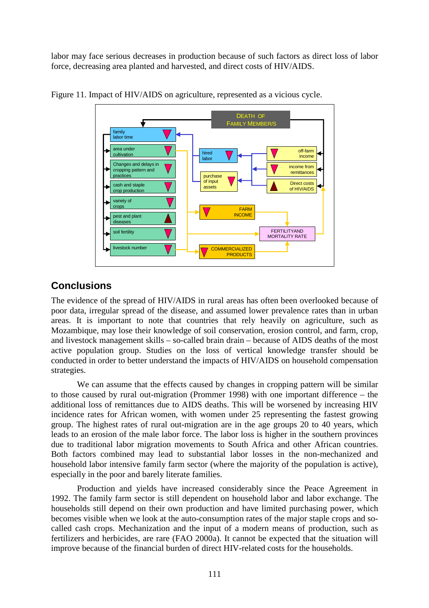labor may face serious decreases in production because of such factors as direct loss of labor force, decreasing area planted and harvested, and direct costs of HIV/AIDS.



Figure 11. Impact of HIV/AIDS on agriculture, represented as a vicious cycle.

## **Conclusions**

The evidence of the spread of HIV/AIDS in rural areas has often been overlooked because of poor data, irregular spread of the disease, and assumed lower prevalence rates than in urban areas. It is important to note that countries that rely heavily on agriculture, such as Mozambique, may lose their knowledge of soil conservation, erosion control, and farm, crop, and livestock management skills – so-called brain drain – because of AIDS deaths of the most active population group. Studies on the loss of vertical knowledge transfer should be conducted in order to better understand the impacts of HIV/AIDS on household compensation strategies.

We can assume that the effects caused by changes in cropping pattern will be similar to those caused by rural out-migration (Prommer 1998) with one important difference – the additional loss of remittances due to AIDS deaths. This will be worsened by increasing HIV incidence rates for African women, with women under 25 representing the fastest growing group. The highest rates of rural out-migration are in the age groups 20 to 40 years, which leads to an erosion of the male labor force. The labor loss is higher in the southern provinces due to traditional labor migration movements to South Africa and other African countries. Both factors combined may lead to substantial labor losses in the non-mechanized and household labor intensive family farm sector (where the majority of the population is active), especially in the poor and barely literate families.

Production and yields have increased considerably since the Peace Agreement in 1992. The family farm sector is still dependent on household labor and labor exchange. The households still depend on their own production and have limited purchasing power, which becomes visible when we look at the auto-consumption rates of the major staple crops and socalled cash crops. Mechanization and the input of a modern means of production, such as fertilizers and herbicides, are rare (FAO 2000a). It cannot be expected that the situation will improve because of the financial burden of direct HIV-related costs for the households.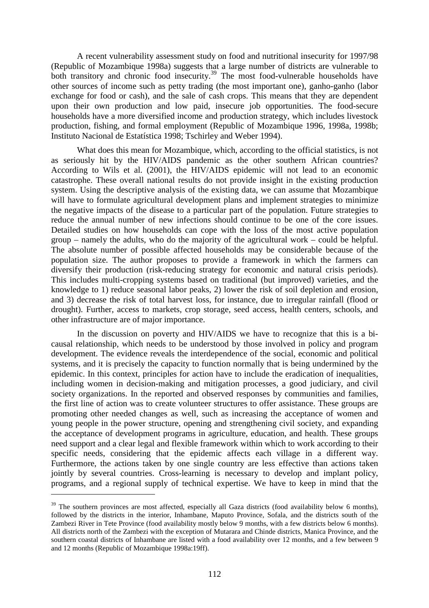A recent vulnerability assessment study on food and nutritional insecurity for 1997/98 (Republic of Mozambique 1998a) suggests that a large number of districts are vulnerable to both transitory and chronic food insecurity.<sup>39</sup> The most food-vulnerable households have other sources of income such as petty trading (the most important one), ganho-ganho (labor exchange for food or cash), and the sale of cash crops. This means that they are dependent upon their own production and low paid, insecure job opportunities. The food-secure households have a more diversified income and production strategy, which includes livestock production, fishing, and formal employment (Republic of Mozambique 1996, 1998a, 1998b; Instituto Nacional de Estatística 1998; Tschirley and Weber 1994).

What does this mean for Mozambique, which, according to the official statistics, is not as seriously hit by the HIV/AIDS pandemic as the other southern African countries? According to Wils et al. (2001), the HIV/AIDS epidemic will not lead to an economic catastrophe. These overall national results do not provide insight in the existing production system. Using the descriptive analysis of the existing data, we can assume that Mozambique will have to formulate agricultural development plans and implement strategies to minimize the negative impacts of the disease to a particular part of the population. Future strategies to reduce the annual number of new infections should continue to be one of the core issues. Detailed studies on how households can cope with the loss of the most active population group – namely the adults, who do the majority of the agricultural work – could be helpful. The absolute number of possible affected households may be considerable because of the population size. The author proposes to provide a framework in which the farmers can diversify their production (risk-reducing strategy for economic and natural crisis periods). This includes multi-cropping systems based on traditional (but improved) varieties, and the knowledge to 1) reduce seasonal labor peaks, 2) lower the risk of soil depletion and erosion, and 3) decrease the risk of total harvest loss, for instance, due to irregular rainfall (flood or drought). Further, access to markets, crop storage, seed access, health centers, schools, and other infrastructure are of major importance.

In the discussion on poverty and HIV/AIDS we have to recognize that this is a bicausal relationship, which needs to be understood by those involved in policy and program development. The evidence reveals the interdependence of the social, economic and political systems, and it is precisely the capacity to function normally that is being undermined by the epidemic. In this context, principles for action have to include the eradication of inequalities, including women in decision-making and mitigation processes, a good judiciary, and civil society organizations. In the reported and observed responses by communities and families, the first line of action was to create volunteer structures to offer assistance. These groups are promoting other needed changes as well, such as increasing the acceptance of women and young people in the power structure, opening and strengthening civil society, and expanding the acceptance of development programs in agriculture, education, and health. These groups need support and a clear legal and flexible framework within which to work according to their specific needs, considering that the epidemic affects each village in a different way. Furthermore, the actions taken by one single country are less effective than actions taken jointly by several countries. Cross-learning is necessary to develop and implant policy, programs, and a regional supply of technical expertise. We have to keep in mind that the

<sup>&</sup>lt;sup>39</sup> The southern provinces are most affected, especially all Gaza districts (food availability below 6 months), followed by the districts in the interior, Inhambane, Maputo Province, Sofala, and the districts south of the Zambezi River in Tete Province (food availability mostly below 9 months, with a few districts below 6 months). All districts north of the Zambezi with the exception of Mutarara and Chinde districts, Manica Province, and the southern coastal districts of Inhambane are listed with a food availability over 12 months, and a few between 9 and 12 months (Republic of Mozambique 1998a:19ff).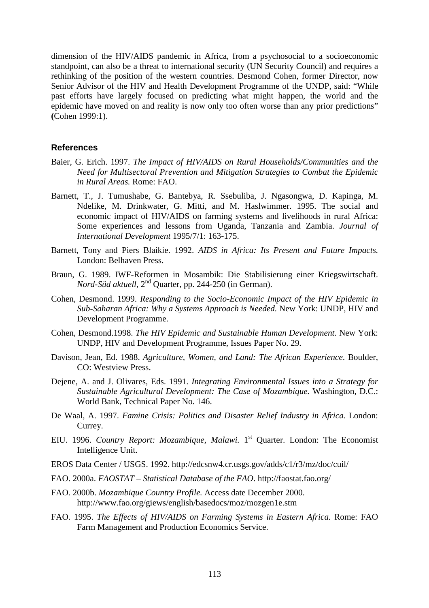dimension of the HIV/AIDS pandemic in Africa, from a psychosocial to a socioeconomic standpoint, can also be a threat to international security (UN Security Council) and requires a rethinking of the position of the western countries. Desmond Cohen, former Director, now Senior Advisor of the HIV and Health Development Programme of the UNDP, said: "While past efforts have largely focused on predicting what might happen, the world and the epidemic have moved on and reality is now only too often worse than any prior predictions" **(**Cohen 1999:1).

#### **References**

- Baier, G. Erich. 1997. *The Impact of HIV/AIDS on Rural Households/Communities and the Need for Multisectoral Prevention and Mitigation Strategies to Combat the Epidemic in Rural Areas.* Rome: FAO.
- Barnett, T., J. Tumushabe, G. Bantebya, R. Ssebuliba, J. Ngasongwa, D. Kapinga, M. Ndelike, M. Drinkwater, G. Mitti, and M. Haslwimmer. 1995. The social and economic impact of HIV/AIDS on farming systems and livelihoods in rural Africa: Some experiences and lessons from Uganda, Tanzania and Zambia. *Journal of International Development* 1995/7/1: 163-175.
- Barnett, Tony and Piers Blaikie. 1992. *AIDS in Africa: Its Present and Future Impacts.*  London: Belhaven Press.
- Braun, G. 1989. IWF-Reformen in Mosambik: Die Stabilisierung einer Kriegswirtschaft. *Nord-Süd aktuell,* 2nd Quarter, pp. 244-250 (in German).
- Cohen, Desmond. 1999. *Responding to the Socio-Economic Impact of the HIV Epidemic in Sub-Saharan Africa: Why a Systems Approach is Needed.* New York: UNDP, HIV and Development Programme.
- Cohen, Desmond.1998. *The HIV Epidemic and Sustainable Human Development.* New York: UNDP, HIV and Development Programme, Issues Paper No. 29.
- Davison, Jean, Ed. 1988. *Agriculture, Women, and Land: The African Experience*. Boulder, CO: Westview Press.
- Dejene, A. and J. Olivares, Eds. 1991. *Integrating Environmental Issues into a Strategy for Sustainable Agricultural Development: The Case of Mozambique.* Washington, D.C.: World Bank, Technical Paper No. 146.
- De Waal, A. 1997. *Famine Crisis: Politics and Disaster Relief Industry in Africa.* London: Currey.
- EIU. 1996. *Country Report: Mozambique, Malawi*. 1<sup>st</sup> Quarter. London: The Economist Intelligence Unit.
- EROS Data Center / USGS. 1992. http://edcsnw4.cr.usgs.gov/adds/c1/r3/mz/doc/cuil/
- FAO. 2000a. *FAOSTAT Statistical Database of the FAO*. http://faostat.fao.org/
- FAO. 2000b. *Mozambique Country Profile.* Access date December 2000. http://www.fao.org/giews/english/basedocs/moz/mozgen1e.stm
- FAO. 1995. *The Effects of HIV/AIDS on Farming Systems in Eastern Africa.* Rome: FAO Farm Management and Production Economics Service.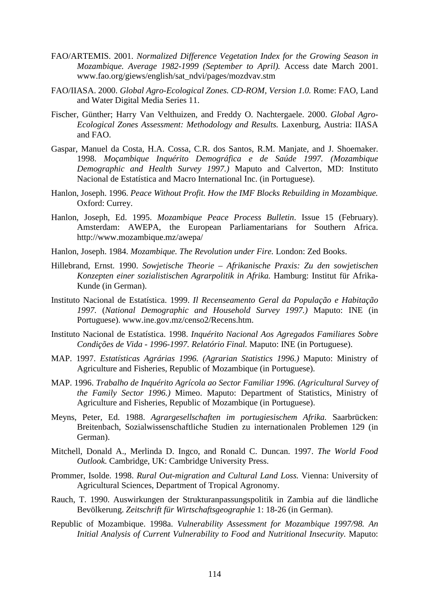- FAO/ARTEMIS. 2001. *Normalized Difference Vegetation Index for the Growing Season in Mozambique. Average 1982-1999 (September to April).* Access date March 2001. www.fao.org/giews/english/sat\_ndvi/pages/mozdvav.stm
- FAO/IIASA. 2000. *Global Agro-Ecological Zones. CD-ROM, Version 1.0.* Rome: FAO, Land and Water Digital Media Series 11.
- Fischer, Günther; Harry Van Velthuizen, and Freddy O. Nachtergaele. 2000. *Global Agro-Ecological Zones Assessment: Methodology and Results.* Laxenburg, Austria: IIASA and FAO.
- Gaspar, Manuel da Costa, H.A. Cossa, C.R. dos Santos, R.M. Manjate, and J. Shoemaker. 1998. *Moçambique Inquérito Demográfica e de Saúde 1997. (Mozambique Demographic and Health Survey 1997.)* Maputo and Calverton, MD: Instituto Nacional de Estatística and Macro International Inc. (in Portuguese).
- Hanlon, Joseph. 1996. *Peace Without Profit. How the IMF Blocks Rebuilding in Mozambique.*  Oxford: Currey.
- Hanlon, Joseph, Ed. 1995. *Mozambique Peace Process Bulletin*. Issue 15 (February). Amsterdam: AWEPA, the European Parliamentarians for Southern Africa. http://www.mozambique.mz/awepa/
- Hanlon, Joseph. 1984. *Mozambique. The Revolution under Fire.* London: Zed Books.
- Hillebrand, Ernst. 1990. *Sowjetische Theorie Afrikanische Praxis: Zu den sowjetischen Konzepten einer sozialistischen Agrarpolitik in Afrika.* Hamburg: Institut für Afrika-Kunde (in German).
- Instituto Nacional de Estatística. 1999. *Il Recenseamento Geral da População e Habitação 1997*. (*National Demographic and Household Survey 1997.)* Maputo: INE (in Portuguese). www.ine.gov.mz/censo2/Recens.htm.
- Instituto Nacional de Estatística. 1998. *Inquérito Nacional Aos Agregados Familiares Sobre Condições de Vida - 1996-1997. Relatório Final.* Maputo: INE (in Portuguese).
- MAP. 1997. *Estatísticas Agrárias 1996. (Agrarian Statistics 1996.)* Maputo: Ministry of Agriculture and Fisheries, Republic of Mozambique (in Portuguese).
- MAP. 1996. *Trabalho de Inquérito Agrícola ao Sector Familiar 1996. (Agricultural Survey of the Family Sector 1996.)* Mimeo. Maputo: Department of Statistics, Ministry of Agriculture and Fisheries, Republic of Mozambique (in Portuguese).
- Meyns, Peter, Ed. 1988. *Agrargesellschaften im portugiesischem Afrika.* Saarbrücken: Breitenbach, Sozialwissenschaftliche Studien zu internationalen Problemen 129 (in German).
- Mitchell, Donald A., Merlinda D. Ingco, and Ronald C. Duncan. 1997. *The World Food Outlook.* Cambridge, UK: Cambridge University Press.
- Prommer, Isolde. 1998. *Rural Out-migration and Cultural Land Loss.* Vienna: University of Agricultural Sciences, Department of Tropical Agronomy.
- Rauch, T. 1990. Auswirkungen der Strukturanpassungspolitik in Zambia auf die ländliche Bevölkerung. *Zeitschrift für Wirtschaftsgeographie* 1: 18-26 (in German).
- Republic of Mozambique. 1998a. *Vulnerability Assessment for Mozambique 1997/98. An Initial Analysis of Current Vulnerability to Food and Nutritional Insecurity.* Maputo: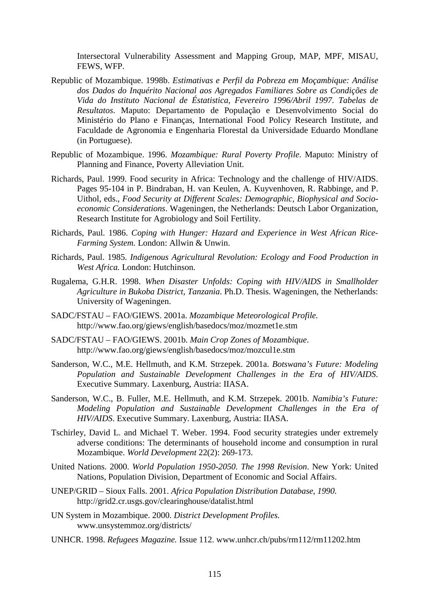Intersectoral Vulnerability Assessment and Mapping Group, MAP, MPF, MISAU, FEWS, WFP.

- Republic of Mozambique. 1998b. *Estimativas e Perfil da Pobreza em Moçambique: Análise dos Dados do Inquérito Nacional aos Agregados Familiares Sobre as Condições de Vida do Instituto Nacional de Éstatistica, Fevereiro 1996/Abril 1997. Tabelas de Resultatos*. Maputo: Departamento de População e Desenvolvimento Social do Ministério do Plano e Finanças, International Food Policy Research Institute, and Faculdade de Agronomia e Engenharia Florestal da Universidade Eduardo Mondlane (in Portuguese).
- Republic of Mozambique. 1996. *Mozambique: Rural Poverty Profile*. Maputo: Ministry of Planning and Finance, Poverty Alleviation Unit.
- Richards, Paul. 1999. Food security in Africa: Technology and the challenge of HIV/AIDS. Pages 95-104 in P. Bindraban, H. van Keulen, A. Kuyvenhoven, R. Rabbinge, and P. Uithol, eds., *Food Security at Different Scales: Demographic, Biophysical and Socioeconomic Considerations*. Wageningen, the Netherlands: Deutsch Labor Organization, Research Institute for Agrobiology and Soil Fertility.
- Richards, Paul. 1986. *Coping with Hunger: Hazard and Experience in West African Rice-Farming System.* London: Allwin & Unwin.
- Richards, Paul. 1985. *Indigenous Agricultural Revolution: Ecology and Food Production in West Africa.* London: Hutchinson.
- Rugalema, G.H.R. 1998. *When Disaster Unfolds: Coping with HIV/AIDS in Smallholder Agriculture in Bukoba District, Tanzania*. Ph.D. Thesis. Wageningen, the Netherlands: University of Wageningen.
- SADC/FSTAU FAO/GIEWS. 2001a. *Mozambique Meteorological Profile.* http://www.fao.org/giews/english/basedocs/moz/mozmet1e.stm
- SADC/FSTAU FAO/GIEWS. 2001b. *Main Crop Zones of Mozambique*. http://www.fao.org/giews/english/basedocs/moz/mozcul1e.stm
- Sanderson, W.C., M.E. Hellmuth, and K.M. Strzepek. 2001a. *Botswana's Future: Modeling Population and Sustainable Development Challenges in the Era of HIV/AIDS*. Executive Summary. Laxenburg, Austria: IIASA.
- Sanderson, W.C., B. Fuller, M.E. Hellmuth, and K.M. Strzepek. 2001b. *Namibia's Future: Modeling Population and Sustainable Development Challenges in the Era of HIV/AIDS*. Executive Summary. Laxenburg, Austria: IIASA.
- Tschirley, David L. and Michael T. Weber. 1994. Food security strategies under extremely adverse conditions: The determinants of household income and consumption in rural Mozambique. *World Development* 22(2): 269-173.
- United Nations. 2000. *World Population 1950-2050. The 1998 Revision*. New York: United Nations, Population Division, Department of Economic and Social Affairs.
- UNEP/GRID Sioux Falls. 2001. *Africa Population Distribution Database, 1990.* http://grid2.cr.usgs.gov/clearinghouse/datalist.html
- UN System in Mozambique. 2000. *District Development Profiles.*  www.unsystemmoz.org/districts/
- UNHCR. 1998. *Refugees Magazine.* Issue 112. www.unhcr.ch/pubs/rm112/rm11202.htm